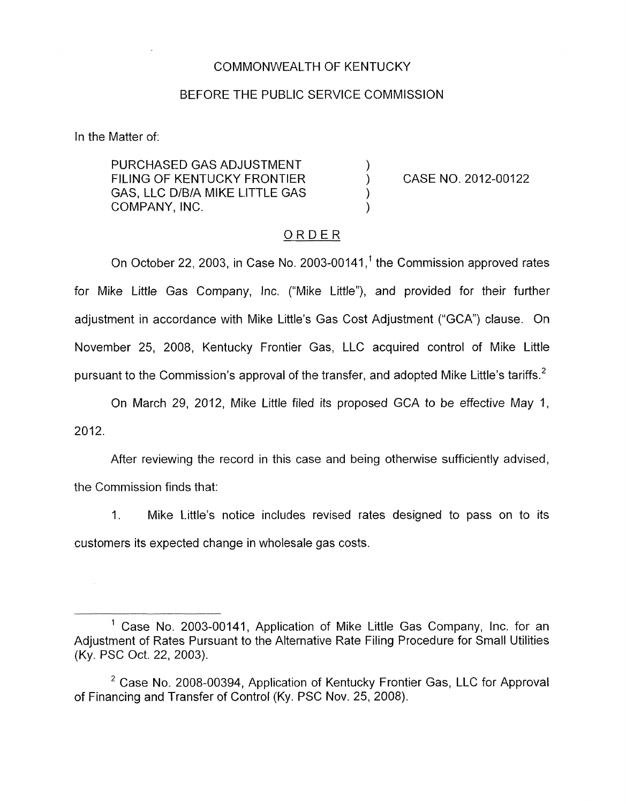#### COMMONWEALTH OF KENTUCKY

#### BEFORE THE PUBLIC SERVICE COMMISSION

In the Matter of:

PURCHASED GAS ADJUSTMENT  $\left( \begin{array}{ccc} 0 & 0 & 0 \\ 0 & 0 & 0 \\ 0 & 0 & 0 \end{array} \right)$ FILING OF KENTUCKY FRONTIER (CASE NO. 2012-00122 GAS, LLC D/B/A MIKE LITTLE GAS COMPANY, INC.

### ORDER

On October 22, 2003, in Case No. 2003-00141, $<sup>1</sup>$  the Commission approved rates</sup> for Mike Little Gas Company, Inc. ("Mike Little"), and provided for their further adjustment in accordance with Mike Little's Gas Cost Adjustment ("GCA") clause. On November 25, 2008, Kentucky Frontier Gas, LLC acquired control of Mike Little pursuant to the Commission's approval of the transfer, and adopted Mike Little's tariffs.<sup>2</sup>

On March 29, 2012, Mike Little filed its proposed GCA to be effective May 1,

2012.

After reviewing the record in this case and being otherwise sufficiently advised, the Commission finds that:

I. Mike Little's notice includes revised rates designed to pass on to its customers its expected change in wholesale gas costs.

<sup>&#</sup>x27; Case No. 2003-00141, Application of Mike Little Gas Company, Inc. for an Adjustment of Rates Pursuant to the Alternative Rate Filing Procedure for Small Utilities (Ky. PSC Oct. 22, 2003).

 $2$  Case No. 2008-00394, Application of Kentucky Frontier Gas, LLC for Approval of Financing and Transfer of Control (Ky. PSC Nov. 25, 2008).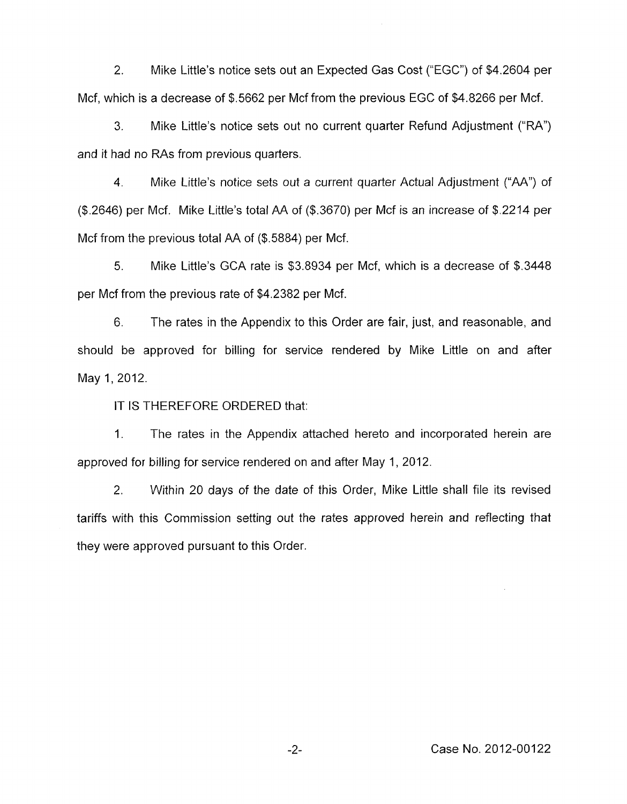2. Mike Little's notice sets out an Expected Gas Cost ("EGC") of \$4.2604 per Mcf, which is a decrease of \$.5662 per Mcf from the previous EGC of \$4.8266 per Mcf.

3. Mike Little's notice sets out no current quarter Refund Adjustment ("RA") and it had no RAs from previous quarters.

4. Mike Little's notice sets out a current quarter Actual Adjustment ("AA") of (\$.2646) per Mcf. Mike Little's total AA of (\$.3670) per Mcf is an increase of \$.2214 per Mcf from the previous total AA of (\$.5884) per Mcf.

*5.* Mike Little's GCA rate is \$3.8934 per Mcf, which is a decrease of \$.3448 per Mcf from the previous rate of \$4.2382 per Mcf.

6. The rates in the Appendix to this Order are fair, just, and reasonable, and should be approved for billing for service rendered by Mike Little on and after May 1, 2012.

IT IS THEREFORE ORDERED that:

1. The rates in the Appendix attached hereto and incorporated herein are approved for billing for service rendered on and after May 1, 2012.

2. Within 20 days of the date of this Order, Mike Little shall file its revised tariffs with this Commission setting out the rates approved herein and reflecting that they were approved pursuant to this Order.

-2- Case No. 2012-00122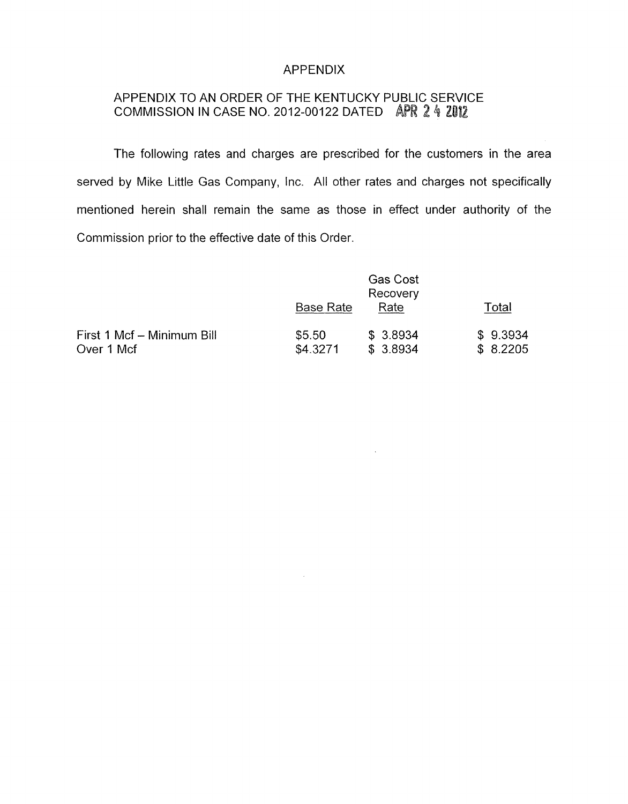## APPENDIX

# APPENDIX TO AN ORDER OF THE KENTUCKY PUBLIC SERVICE COMMISSION IN CASE NO. 2012-00122 DATED APR 2 4 2012

The following rates and charges are prescribed for the customers in the area served by Mike Little Gas Company, Inc. All other rates and charges not specifically mentioned herein shall remain the same as those in effect under authority of the Commission prior to the effective date of this Order.

| Commission prior to the effective date of this Order. |                    |                                     |                      |
|-------------------------------------------------------|--------------------|-------------------------------------|----------------------|
|                                                       | <b>Base Rate</b>   | <b>Gas Cost</b><br>Recovery<br>Rate | Total                |
| First 1 Mcf - Minimum Bill<br>Over 1 Mcf              | \$5.50<br>\$4.3271 | \$3.8934<br>\$3.8934                | \$9.3934<br>\$8.2205 |

 $\sim$ 

 $\mathcal{L}$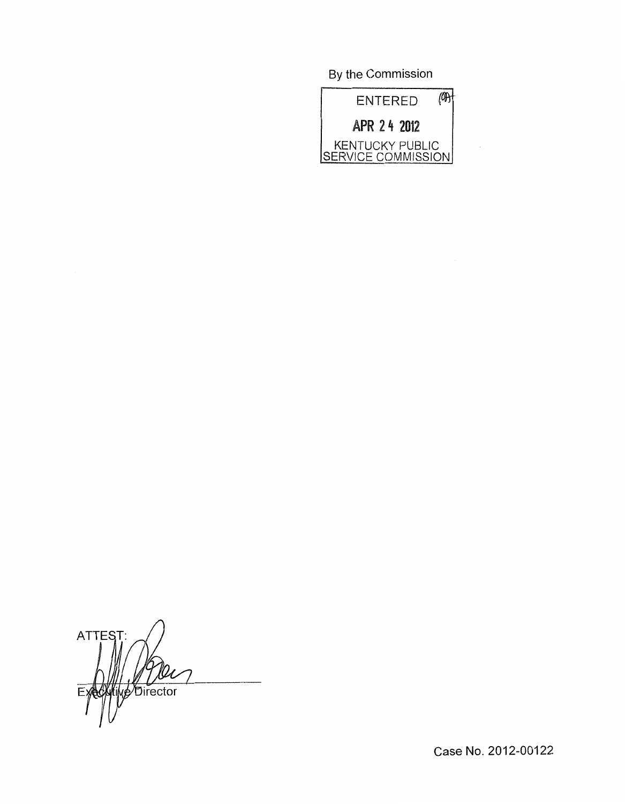By the Commission



 $\sim$ 

**ATTEST** p Director E:

Case No. 2012-00122